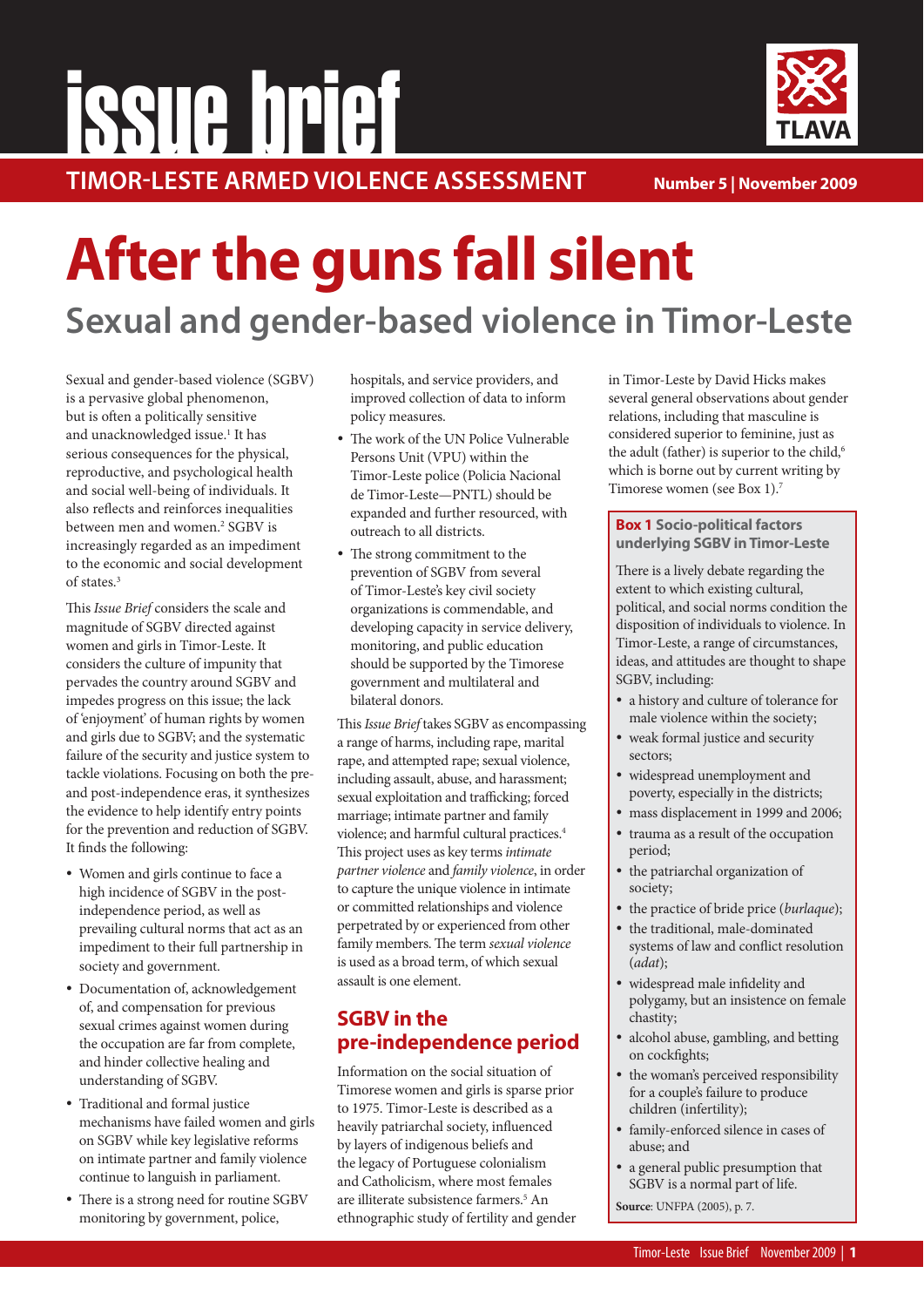# **TIMOR-LESTE ARMED VIOLENCE ASSESSMENT issue brief**



**Number 5 | November 2009**

# **After the guns fall silent**

## **Sexual and gender-based violence in Timor-Leste**

Sexual and gender-based violence (SGBV) is a pervasive global phenomenon, but is often a politically sensitive and unacknowledged issue.<sup>1</sup> It has serious consequences for the physical, reproductive, and psychological health and social well-being of individuals. It also reflects and reinforces inequalities between men and women.2 SGBV is increasingly regarded as an impediment to the economic and social development of states.<sup>3</sup>

This Issue Brief considers the scale and magnitude of SGBV directed against women and girls in Timor-Leste. It considers the culture of impunity that pervades the country around SGBV and impedes progress on this issue; the lack of 'enjoyment' of human rights by women and girls due to SGBV; and the systematic failure of the security and justice system to tackle violations. Focusing on both the preand post-independence eras, it synthesizes the evidence to help identify entry points for the prevention and reduction of SGBV. It finds the following:

- Women and girls continue to face a high incidence of SGBV in the postindependence period, as well as prevailing cultural norms that act as an impediment to their full partnership in society and government.
- Documentation of, acknowledgement of, and compensation for previous sexual crimes against women during the occupation are far from complete, and hinder collective healing and understanding of SGBV.
- Traditional and formal justice mechanisms have failed women and girls on SGBV while key legislative reforms on intimate partner and family violence continue to languish in parliament.
- There is a strong need for routine SGBV monitoring by government, police,

hospitals, and service providers, and improved collection of data to inform policy measures.

- The work of the UN Police Vulnerable Persons Unit (VPU) within the Timor-Leste police (Policia Nacional de Timor-Leste—PNTL) should be expanded and further resourced, with outreach to all districts.
- The strong commitment to the prevention of SGBV from several of Timor-Leste's key civil society organizations is commendable, and developing capacity in service delivery, monitoring, and public education should be supported by the Timorese government and multilateral and bilateral donors.

This *Issue Brief* takes SGBV as encompassing a range of harms, including rape, marital rape, and attempted rape; sexual violence, including assault, abuse, and harassment; sexual exploitation and trafficking; forced marriage; intimate partner and family violence; and harmful cultural practices.4 This project uses as key terms intimate partner violence and family violence, in order to capture the unique violence in intimate or committed relationships and violence perpetrated by or experienced from other family members. The term sexual violence is used as a broad term, of which sexual assault is one element.

## **SGBV in the pre-independence period**

Information on the social situation of Timorese women and girls is sparse prior to 1975. Timor-Leste is described as a heavily patriarchal society, influenced by layers of indigenous beliefs and the legacy of Portuguese colonialism and Catholicism, where most females are illiterate subsistence farmers.5 An ethnographic study of fertility and gender in Timor-Leste by David Hicks makes several general observations about gender relations, including that masculine is considered superior to feminine, just as the adult (father) is superior to the child,<sup>6</sup> which is borne out by current writing by Timorese women (see Box 1).7

#### **Box 1 Socio-political factors underlying SGBV in Timor-Leste**

There is a lively debate regarding the extent to which existing cultural, political, and social norms condition the disposition of individuals to violence. In Timor-Leste, a range of circumstances, ideas, and attitudes are thought to shape SGBV, including:

- a history and culture of tolerance for male violence within the society;
- weak formal justice and security sectors;
- widespread unemployment and poverty, especially in the districts;
- mass displacement in 1999 and 2006;
- trauma as a result of the occupation period;
- the patriarchal organization of society;
- the practice of bride price (burlaque);
- the traditional, male-dominated systems of law and conflict resolution (adat);
- widespread male infidelity and polygamy, but an insistence on female chastity;
- alcohol abuse, gambling, and betting on cockfights;
- the woman's perceived responsibility for a couple's failure to produce children (infertility);
- family-enforced silence in cases of abuse; and
- a general public presumption that SGBV is a normal part of life.

**Source**: UNFPA (2005), p. 7.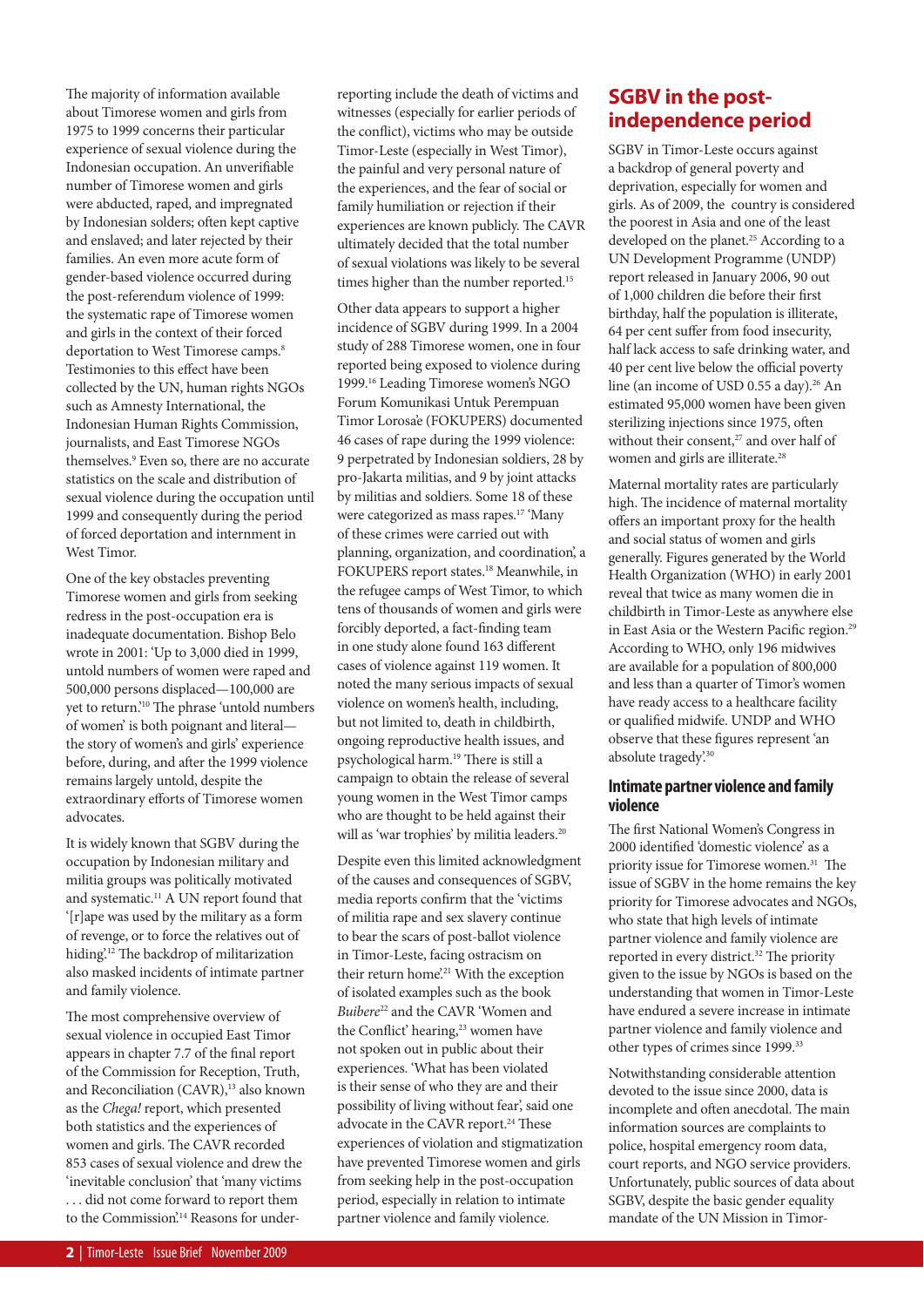The majority of information available about Timorese women and girls from 1975 to 1999 concerns their particular experience of sexual violence during the Indonesian occupation. An unverifiable number of Timorese women and girls were abducted, raped, and impregnated by Indonesian solders; often kept captive and enslaved; and later rejected by their families. An even more acute form of gender-based violence occurred during the post-referendum violence of 1999: the systematic rape of Timorese women and girls in the context of their forced deportation to West Timorese camps.<sup>8</sup> Testimonies to this effect have been collected by the UN, human rights NGOs such as Amnesty International, the Indonesian Human Rights Commission, journalists, and East Timorese NGOs themselves.9 Even so, there are no accurate statistics on the scale and distribution of sexual violence during the occupation until 1999 and consequently during the period of forced deportation and internment in West Timor.

One of the key obstacles preventing Timorese women and girls from seeking redress in the post-occupation era is inadequate documentation. Bishop Belo wrote in 2001: 'Up to 3,000 died in 1999, untold numbers of women were raped and 500,000 persons displaced—100,000 are yet to return.'<sup>10</sup> The phrase 'untold numbers of women' is both poignant and literal the story of women's and girls' experience before, during, and after the 1999 violence remains largely untold, despite the extraordinary efforts of Timorese women advocates.

It is widely known that SGBV during the occupation by Indonesian military and militia groups was politically motivated and systematic.11 A UN report found that '[r]ape was used by the military as a form of revenge, or to force the relatives out of hiding.<sup>12</sup> The backdrop of militarization also masked incidents of intimate partner and family violence.

The most comprehensive overview of sexual violence in occupied East Timor appears in chapter 7.7 of the final report of the Commission for Reception, Truth, and Reconciliation (CAVR),<sup>13</sup> also known as the Chega! report, which presented both statistics and the experiences of women and girls. The CAVR recorded 853 cases of sexual violence and drew the 'inevitable conclusion' that 'many victims . . . did not come forward to report them to the Commission.<sup>14</sup> Reasons for underreporting include the death of victims and witnesses (especially for earlier periods of the conflict), victims who may be outside Timor-Leste (especially in West Timor), the painful and very personal nature of the experiences, and the fear of social or family humiliation or rejection if their experiences are known publicly. The CAVR ultimately decided that the total number of sexual violations was likely to be several times higher than the number reported.<sup>15</sup>

Other data appears to support a higher incidence of SGBV during 1999. In a 2004 study of 288 Timorese women, one in four reported being exposed to violence during 1999.16 Leading Timorese women's NGO Forum Komunikasi Untuk Perempuan Timor Lorosa'e (FOKUPERS) documented 46 cases of rape during the 1999 violence: 9 perpetrated by Indonesian soldiers, 28 by pro-Jakarta militias, and 9 by joint attacks by militias and soldiers. Some 18 of these were categorized as mass rapes.17 'Many of these crimes were carried out with planning, organization, and coordination', a FOKUPERS report states.<sup>18</sup> Meanwhile, in the refugee camps of West Timor, to which tens of thousands of women and girls were forcibly deported, a fact-finding team in one study alone found 163 different cases of violence against 119 women. It noted the many serious impacts of sexual violence on women's health, including, but not limited to, death in childbirth, ongoing reproductive health issues, and psychological harm.<sup>19</sup> There is still a campaign to obtain the release of several young women in the West Timor camps who are thought to be held against their will as 'war trophies' by militia leaders.<sup>20</sup>

Despite even this limited acknowledgment of the causes and consequences of SGBV, media reports confirm that the 'victims of militia rape and sex slavery continue to bear the scars of post-ballot violence in Timor-Leste, facing ostracism on their return home.<sup>21</sup> With the exception of isolated examples such as the book Buibere<sup>22</sup> and the CAVR 'Women and the Conflict' hearing,<sup>23</sup> women have not spoken out in public about their experiences. 'What has been violated is their sense of who they are and their possibility of living without fear', said one advocate in the CAVR report.<sup>24</sup> These experiences of violation and stigmatization have prevented Timorese women and girls from seeking help in the post-occupation period, especially in relation to intimate partner violence and family violence.

## **SGBV in the postindependence period**

SGBV in Timor-Leste occurs against a backdrop of general poverty and deprivation, especially for women and girls. As of 2009, the country is considered the poorest in Asia and one of the least developed on the planet.<sup>25</sup> According to a UN Development Programme (UNDP) report released in January 2006, 90 out of 1,000 children die before their first birthday, half the population is illiterate, 64 per cent suffer from food insecurity, half lack access to safe drinking water, and 40 per cent live below the official poverty line (an income of USD 0.55 a day).<sup>26</sup> An estimated 95,000 women have been given sterilizing injections since 1975, often without their consent,<sup>27</sup> and over half of women and girls are illiterate.<sup>28</sup>

Maternal mortality rates are particularly high. The incidence of maternal mortality offers an important proxy for the health and social status of women and girls generally. Figures generated by the World Health Organization (WHO) in early 2001 reveal that twice as many women die in childbirth in Timor-Leste as anywhere else in East Asia or the Western Pacific region.<sup>29</sup> According to WHO, only 196 midwives are available for a population of 800,000 and less than a quarter of Timor's women have ready access to a healthcare facility or qualified midwife. UNDP and WHO observe that these figures represent 'an absolute tragedy'.<sup>30</sup>

#### **Intimate partner violence and family violence**

The first National Women's Congress in 2000 identified 'domestic violence' as a priority issue for Timorese women.<sup>31</sup> The issue of SGBV in the home remains the key priority for Timorese advocates and NGOs, who state that high levels of intimate partner violence and family violence are reported in every district.<sup>32</sup> The priority given to the issue by NGOs is based on the understanding that women in Timor-Leste have endured a severe increase in intimate partner violence and family violence and other types of crimes since 1999.<sup>33</sup>

Notwithstanding considerable attention devoted to the issue since 2000, data is incomplete and often anecdotal. The main information sources are complaints to police, hospital emergency room data, court reports, and NGO service providers. Unfortunately, public sources of data about SGBV, despite the basic gender equality mandate of the UN Mission in Timor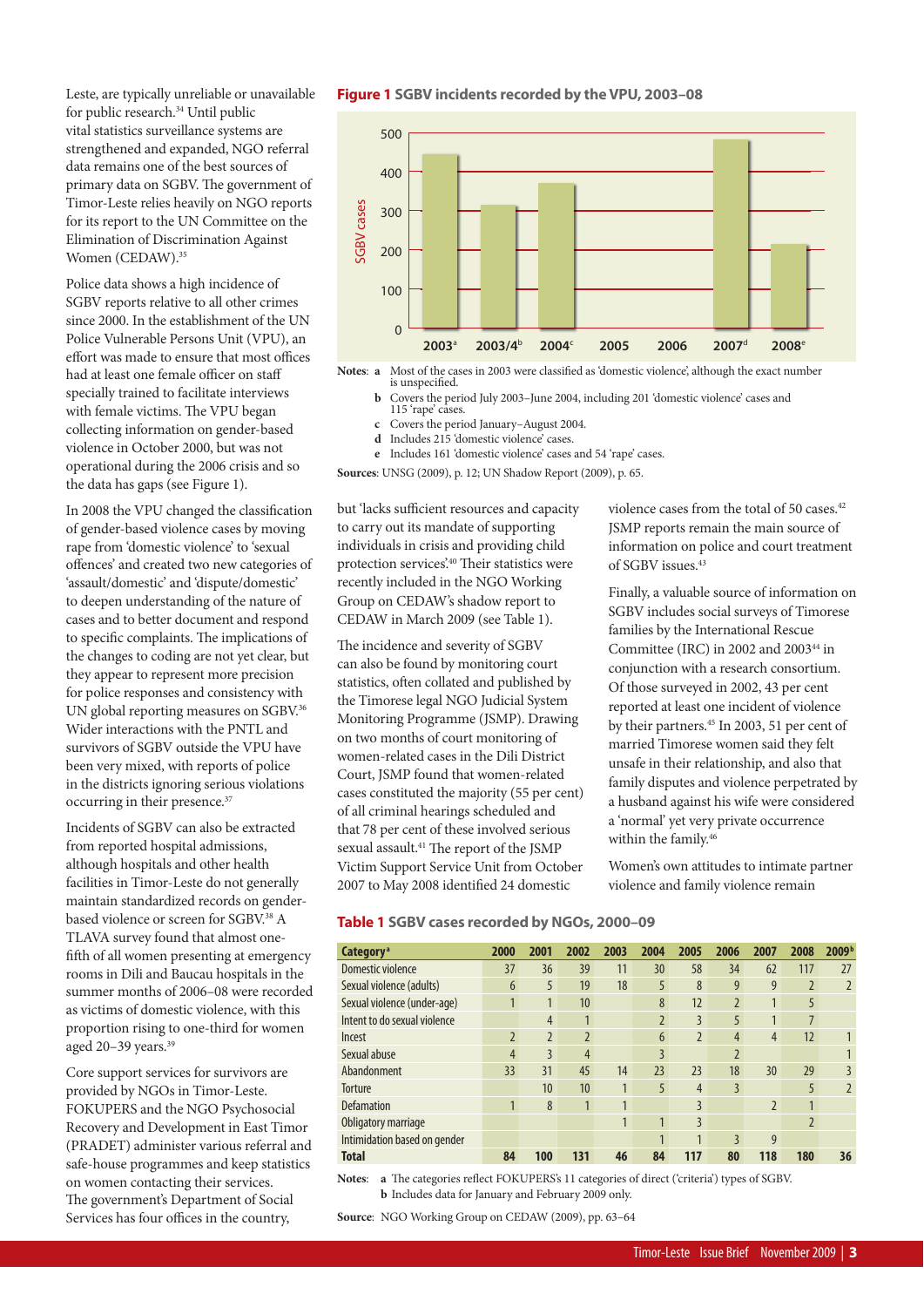Leste, are typically unreliable or unavailable for public research.34 Until public vital statistics surveillance systems are strengthened and expanded, NGO referral data remains one of the best sources of primary data on SGBV. The government of Timor-Leste relies heavily on NGO reports for its report to the UN Committee on the Elimination of Discrimination Against Women (CEDAW).<sup>35</sup>

Police data shows a high incidence of SGBV reports relative to all other crimes since 2000. In the establishment of the UN Police Vulnerable Persons Unit (VPU), an effort was made to ensure that most offices had at least one female officer on staff specially trained to facilitate interviews with female victims. The VPU began collecting information on gender-based violence in October 2000, but was not operational during the 2006 crisis and so the data has gaps (see Figure 1).

In 2008 the VPU changed the classification of gender-based violence cases by moving rape from 'domestic violence' to 'sexual offences' and created two new categories of 'assault/domestic' and 'dispute/domestic' to deepen understanding of the nature of cases and to better document and respond to specific complaints. The implications of the changes to coding are not yet clear, but they appear to represent more precision for police responses and consistency with UN global reporting measures on SGBV.<sup>36</sup> Wider interactions with the PNTL and survivors of SGBV outside the VPU have been very mixed, with reports of police in the districts ignoring serious violations occurring in their presence.<sup>37</sup>

Incidents of SGBV can also be extracted from reported hospital admissions, although hospitals and other health facilities in Timor-Leste do not generally maintain standardized records on genderbased violence or screen for SGBV.<sup>38</sup> A TLAVA survey found that almost onefifth of all women presenting at emergency rooms in Dili and Baucau hospitals in the summer months of 2006–08 were recorded as victims of domestic violence, with this proportion rising to one-third for women aged 20-39 years.<sup>39</sup>

Core support services for survivors are provided by NGOs in Timor-Leste. FOKUPERS and the NGO Psychosocial Recovery and Development in East Timor (PRADET) administer various referral and safe-house programmes and keep statistics on women contacting their services. The government's Department of Social Services has four offices in the country,

#### **Figure 1 SGBV incidents recorded by the VPU, 2003–08**



**Notes: a** Most of the cases in 2003 were classified as 'domestic violence', although the exact number is unspecified.<br> **b** Covers the period July 2003–June 2004, including 201 'domestic violence' cases and

- **<sup>b</sup>** Covers the period July 2003–June 2004, including 201 'domestic violence' cases and 115 'rape' cases.
- **c** Covers the period January–August 2004.
- **d** Includes 215 'domestic violence' cases.
- **e** Includes 161 'domestic violence' cases and 54 'rape' cases.

**Sources**: UNSG (2009), p. 12; UN Shadow Report (2009), p. 65.

but 'lacks sufficient resources and capacity to carry out its mandate of supporting individuals in crisis and providing child protection services'.<sup>40</sup> Their statistics were recently included in the NGO Working Group on CEDAW's shadow report to CEDAW in March 2009 (see Table 1).

The incidence and severity of SGBV can also be found by monitoring court statistics, often collated and published by the Timorese legal NGO Judicial System Monitoring Programme (JSMP). Drawing on two months of court monitoring of women-related cases in the Dili District Court, JSMP found that women-related cases constituted the majority (55 per cent) of all criminal hearings scheduled and that 78 per cent of these involved serious sexual assault.<sup>41</sup> The report of the JSMP Victim Support Service Unit from October 2007 to May 2008 identified 24 domestic

JSMP reports remain the main source of information on police and court treatment of SGBV issues.43

violence cases from the total of 50 cases.<sup>42</sup>

Finally, a valuable source of information on SGBV includes social surveys of Timorese families by the International Rescue Committee (IRC) in 2002 and 2003<sup>44</sup> in conjunction with a research consortium. Of those surveyed in 2002, 43 per cent reported at least one incident of violence by their partners.<sup>45</sup> In 2003, 51 per cent of married Timorese women said they felt unsafe in their relationship, and also that family disputes and violence perpetrated by a husband against his wife were considered a 'normal' yet very private occurrence within the family.<sup>46</sup>

Women's own attitudes to intimate partner violence and family violence remain

#### **Table 1 SGBV cases recorded by NGOs, 2000–09**

| Category <sup>a</sup>        | 2000           | 2001           | 2002           | 2003 | 2004                     | 2005           | 2006           | 2007           | 2008                     | 2009 <sup>b</sup> |
|------------------------------|----------------|----------------|----------------|------|--------------------------|----------------|----------------|----------------|--------------------------|-------------------|
| Domestic violence            | 37             | 36             | 39             | 11   | 30                       | 58             | 34             | 62             | 117                      | 27                |
| Sexual violence (adults)     | 6              | 5              | 19             | 18   | 5                        | 8              | 9              | 9              | $\overline{2}$           | $\overline{2}$    |
| Sexual violence (under-age)  |                | 1              | 10             |      | 8                        | 12             | $\overline{2}$ |                | 5                        |                   |
| Intent to do sexual violence |                | 4              |                |      | $\overline{\phantom{a}}$ | 3              | 5              |                | 7                        |                   |
| Incest                       | $\overline{2}$ | $\overline{2}$ | $\overline{2}$ |      | 6                        | $\overline{2}$ | $\overline{4}$ | $\overline{4}$ | 12                       |                   |
| Sexual abuse                 | 4              | 3              | $\overline{4}$ |      | 3                        |                | $\overline{2}$ |                |                          |                   |
| Abandonment                  | 33             | 31             | 45             | 14   | 23                       | 23             | 18             | 30             | 29                       | 3                 |
| Torture                      |                | 10             | 10             | 1    | 5                        | $\overline{4}$ | $\overline{3}$ |                | 5                        | $\overline{2}$    |
| <b>Defamation</b>            |                | 8              | 1              | 1    |                          | 3              |                | $\overline{2}$ | $\mathbf{1}$             |                   |
| Obligatory marriage          |                |                |                |      | 1                        | 3              |                |                | $\overline{\phantom{0}}$ |                   |
| Intimidation based on gender |                |                |                |      |                          |                | 3              | 9              |                          |                   |
| <b>Total</b>                 | 84             | 100            | 131            | 46   | 84                       | 117            | 80             | 118            | 180                      | 36                |

Notes: **a** The categories reflect FOKUPERS's 11 categories of direct ('criteria') types of SGBV. **b** Includes data for January and February 2009 only.

**Source**: NGO Working Group on CEDAW (2009), pp. 63–64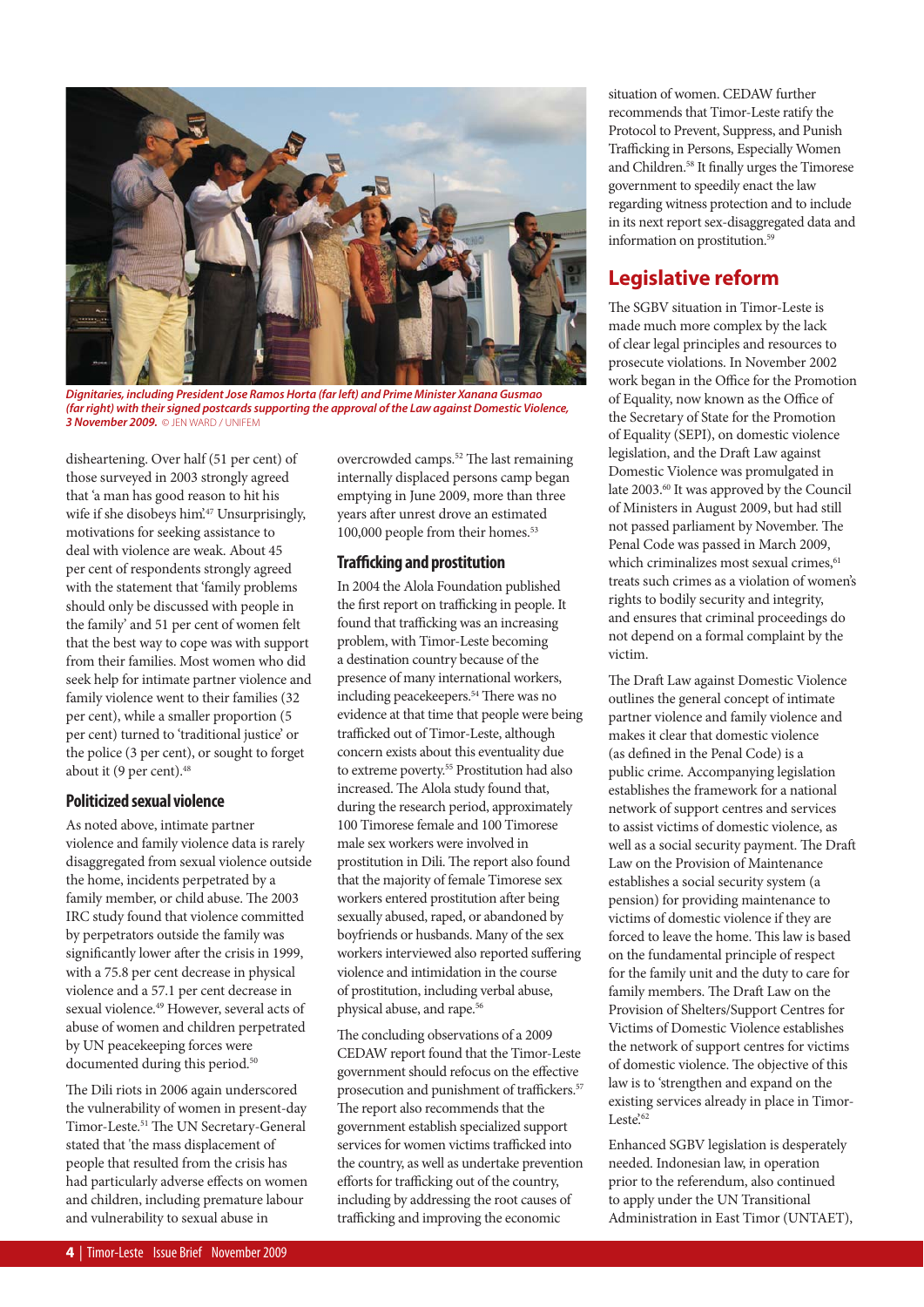

*Dignitaries, including President Jose Ramos Horta (far left) and Prime Minister Xanana Gusmao (far right) with their signed postcards supporting the approval of the Law against Domestic Violence, 3 November 2009.* © JEN WARD / UNIFEM

disheartening. Over half (51 per cent) of those surveyed in 2003 strongly agreed that 'a man has good reason to hit his wife if she disobeys him'.<sup>47</sup> Unsurprisingly, motivations for seeking assistance to deal with violence are weak. About 45 per cent of respondents strongly agreed with the statement that 'family problems should only be discussed with people in the family' and 51 per cent of women felt that the best way to cope was with support from their families. Most women who did seek help for intimate partner violence and family violence went to their families (32 per cent), while a smaller proportion (5 per cent) turned to 'traditional justice' or the police (3 per cent), or sought to forget about it (9 per cent).<sup>48</sup>

#### **Politicized sexual violence**

As noted above, intimate partner violence and family violence data is rarely disaggregated from sexual violence outside the home, incidents perpetrated by a family member, or child abuse. The 2003 IRC study found that violence committed by perpetrators outside the family was significantly lower after the crisis in 1999, with a 75.8 per cent decrease in physical violence and a 57.1 per cent decrease in sexual violence.49 However, several acts of abuse of women and children perpetrated by UN peacekeeping forces were documented during this period.<sup>50</sup>

The Dili riots in 2006 again underscored the vulnerability of women in present-day Timor-Leste.<sup>51</sup> The UN Secretary-General stated that 'the mass displacement of people that resulted from the crisis has had particularly adverse effects on women and children, including premature labour and vulnerability to sexual abuse in

overcrowded camps.<sup>52</sup> The last remaining internally displaced persons camp began emptying in June 2009, more than three years after unrest drove an estimated 100,000 people from their homes.<sup>53</sup>

#### **Trafficking and prostitution**

In 2004 the Alola Foundation published the first report on trafficking in people. It found that trafficking was an increasing problem, with Timor-Leste becoming a destination country because of the presence of many international workers, including peacekeepers.<sup>54</sup> There was no evidence at that time that people were being trafficked out of Timor-Leste, although concern exists about this eventuality due to extreme poverty.<sup>55</sup> Prostitution had also increased. The Alola study found that, during the research period, approximately 100 Timorese female and 100 Timorese male sex workers were involved in prostitution in Dili. The report also found that the majority of female Timorese sex workers entered prostitution after being sexually abused, raped, or abandoned by boyfriends or husbands. Many of the sex workers interviewed also reported suffering violence and intimidation in the course of prostitution, including verbal abuse, physical abuse, and rape.<sup>56</sup>

The concluding observations of a 2009 CEDAW report found that the Timor-Leste government should refocus on the effective prosecution and punishment of traffickers.<sup>57</sup> The report also recommends that the government establish specialized support services for women victims trafficked into the country, as well as undertake prevention efforts for trafficking out of the country, including by addressing the root causes of trafficking and improving the economic

situation of women. CEDAW further recommends that Timor-Leste ratify the Protocol to Prevent, Suppress, and Punish Trafficking in Persons, Especially Women and Children.<sup>58</sup> It finally urges the Timorese government to speedily enact the law regarding witness protection and to include in its next report sex-disaggregated data and information on prostitution.59

## **Legislative reform**

The SGBV situation in Timor-Leste is made much more complex by the lack of clear legal principles and resources to prosecute violations. In November 2002 work began in the Office for the Promotion of Equality, now known as the Office of the Secretary of State for the Promotion of Equality (SEPI), on domestic violence legislation, and the Draft Law against Domestic Violence was promulgated in late 2003.<sup>60</sup> It was approved by the Council of Ministers in August 2009, but had still not passed parliament by November. The Penal Code was passed in March 2009, which criminalizes most sexual crimes,<sup>61</sup> treats such crimes as a violation of women's rights to bodily security and integrity, and ensures that criminal proceedings do not depend on a formal complaint by the victim.

The Draft Law against Domestic Violence outlines the general concept of intimate partner violence and family violence and makes it clear that domestic violence (as defined in the Penal Code) is a public crime. Accompanying legislation establishes the framework for a national network of support centres and services to assist victims of domestic violence, as well as a social security payment. The Draft Law on the Provision of Maintenance establishes a social security system (a pension) for providing maintenance to victims of domestic violence if they are forced to leave the home. This law is based on the fundamental principle of respect for the family unit and the duty to care for family members. The Draft Law on the Provision of Shelters/Support Centres for Victims of Domestic Violence establishes the network of support centres for victims of domestic violence. The objective of this law is to 'strengthen and expand on the existing services already in place in Timor- $Leste^{62}$ 

Enhanced SGBV legislation is desperately needed. Indonesian law, in operation prior to the referendum, also continued to apply under the UN Transitional Administration in East Timor (UNTAET),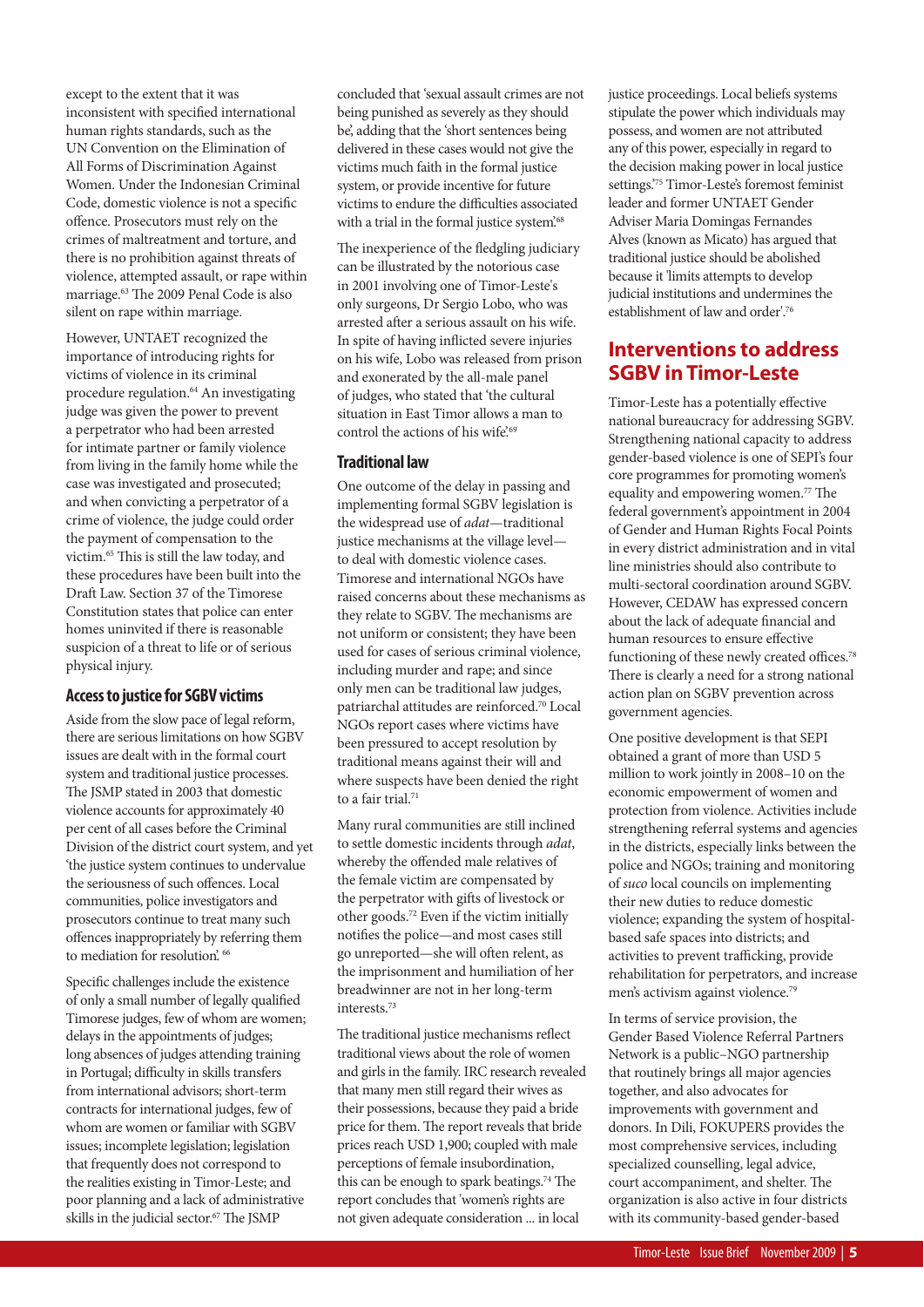except to the extent that it was inconsistent with specified international human rights standards, such as the UN Convention on the Elimination of All Forms of Discrimination Against Women. Under the Indonesian Criminal Code, domestic violence is not a specific offence. Prosecutors must rely on the crimes of maltreatment and torture, and there is no prohibition against threats of violence, attempted assault, or rape within marriage.<sup>63</sup> The 2009 Penal Code is also silent on rape within marriage.

However, UNTAET recognized the importance of introducing rights for victims of violence in its criminal procedure regulation.64 An investigating judge was given the power to prevent a perpetrator who had been arrested for intimate partner or family violence from living in the family home while the case was investigated and prosecuted; and when convicting a perpetrator of a crime of violence, the judge could order the payment of compensation to the victim.<sup>65</sup> This is still the law today, and these procedures have been built into the Draft Law. Section 37 of the Timorese Constitution states that police can enter homes uninvited if there is reasonable suspicion of a threat to life or of serious physical injury.

#### **Access to justice for SGBV victims**

Aside from the slow pace of legal reform, there are serious limitations on how SGBV issues are dealt with in the formal court system and traditional justice processes. The JSMP stated in 2003 that domestic violence accounts for approximately 40 per cent of all cases before the Criminal Division of the district court system, and yet 'the justice system continues to undervalue the seriousness of such offences. Local communities, police investigators and prosecutors continue to treat many such offences inappropriately by referring them to mediation for resolution.<sup>66</sup>

Specific challenges include the existence of only a small number of legally qualified Timorese judges, few of whom are women; delays in the appointments of judges; long absences of judges attending training in Portugal; difficulty in skills transfers from international advisors; short-term contracts for international judges, few of whom are women or familiar with SGBV issues; incomplete legislation; legislation that frequently does not correspond to the realities existing in Timor-Leste; and poor planning and a lack of administrative skills in the judicial sector.<sup>67</sup> The JSMP

concluded that 'sexual assault crimes are not being punished as severely as they should be', adding that the 'short sentences being delivered in these cases would not give the victims much faith in the formal justice system, or provide incentive for future victims to endure the difficulties associated with a trial in the formal justice system.<sup>68</sup>

The inexperience of the fledgling judiciary can be illustrated by the notorious case in 2001 involving one of Timor-Leste's only surgeons, Dr Sergio Lobo, who was arrested after a serious assault on his wife. In spite of having inflicted severe injuries on his wife, Lobo was released from prison and exonerated by the all-male panel of judges, who stated that 'the cultural situation in East Timor allows a man to control the actions of his wife.<sup>69</sup>

#### **Traditional law**

One outcome of the delay in passing and implementing formal SGBV legislation is the widespread use of adat—traditional justice mechanisms at the village levelto deal with domestic violence cases. Timorese and international NGOs have raised concerns about these mechanisms as they relate to SGBV. The mechanisms are not uniform or consistent; they have been used for cases of serious criminal violence, including murder and rape; and since only men can be traditional law judges, patriarchal attitudes are reinforced.70 Local NGOs report cases where victims have been pressured to accept resolution by traditional means against their will and where suspects have been denied the right to a fair trial.71

Many rural communities are still inclined to settle domestic incidents through adat, whereby the offended male relatives of the female victim are compensated by the perpetrator with gifts of livestock or other goods.72 Even if the victim initially notifies the police—and most cases still go unreported—she will often relent, as the imprisonment and humiliation of her breadwinner are not in her long-term interests.73

The traditional justice mechanisms reflect traditional views about the role of women and girls in the family. IRC research revealed that many men still regard their wives as their possessions, because they paid a bride price for them. The report reveals that bride prices reach USD 1,900; coupled with male perceptions of female insubordination, this can be enough to spark beatings.<sup>74</sup> The report concludes that 'women's rights are not given adequate consideration ... in local

justice proceedings. Local beliefs systems stipulate the power which individuals may possess, and women are not attributed any of this power, especially in regard to the decision making power in local justice settings.'75 Timor-Leste's foremost feminist leader and former UNTAET Gender Adviser Maria Domingas Fernandes Alves (known as Micato) has argued that traditional justice should be abolished because it 'limits attempts to develop judicial institutions and undermines the establishment of law and order<sup>'76</sup>

## **Interventions to address SGBV in Timor-Leste**

Timor-Leste has a potentially effective national bureaucracy for addressing SGBV. Strengthening national capacity to address gender-based violence is one of SEPI's four core programmes for promoting women's equality and empowering women.<sup>77</sup> The federal government's appointment in 2004 of Gender and Human Rights Focal Points in every district administration and in vital line ministries should also contribute to multi-sectoral coordination around SGBV. However, CEDAW has expressed concern about the lack of adequate financial and human resources to ensure effective functioning of these newly created offices.<sup>78</sup> There is clearly a need for a strong national action plan on SGBV prevention across government agencies.

One positive development is that SEPI obtained a grant of more than USD 5 million to work jointly in 2008–10 on the economic empowerment of women and protection from violence. Activities include strengthening referral systems and agencies in the districts, especially links between the police and NGOs; training and monitoring of suco local councils on implementing their new duties to reduce domestic violence; expanding the system of hospitalbased safe spaces into districts; and activities to prevent trafficking, provide rehabilitation for perpetrators, and increase men's activism against violence.<sup>79</sup>

In terms of service provision, the Gender Based Violence Referral Partners Network is a public–NGO partnership that routinely brings all major agencies together, and also advocates for improvements with government and donors. In Dili, FOKUPERS provides the most comprehensive services, including specialized counselling, legal advice, court accompaniment, and shelter. The organization is also active in four districts with its community-based gender-based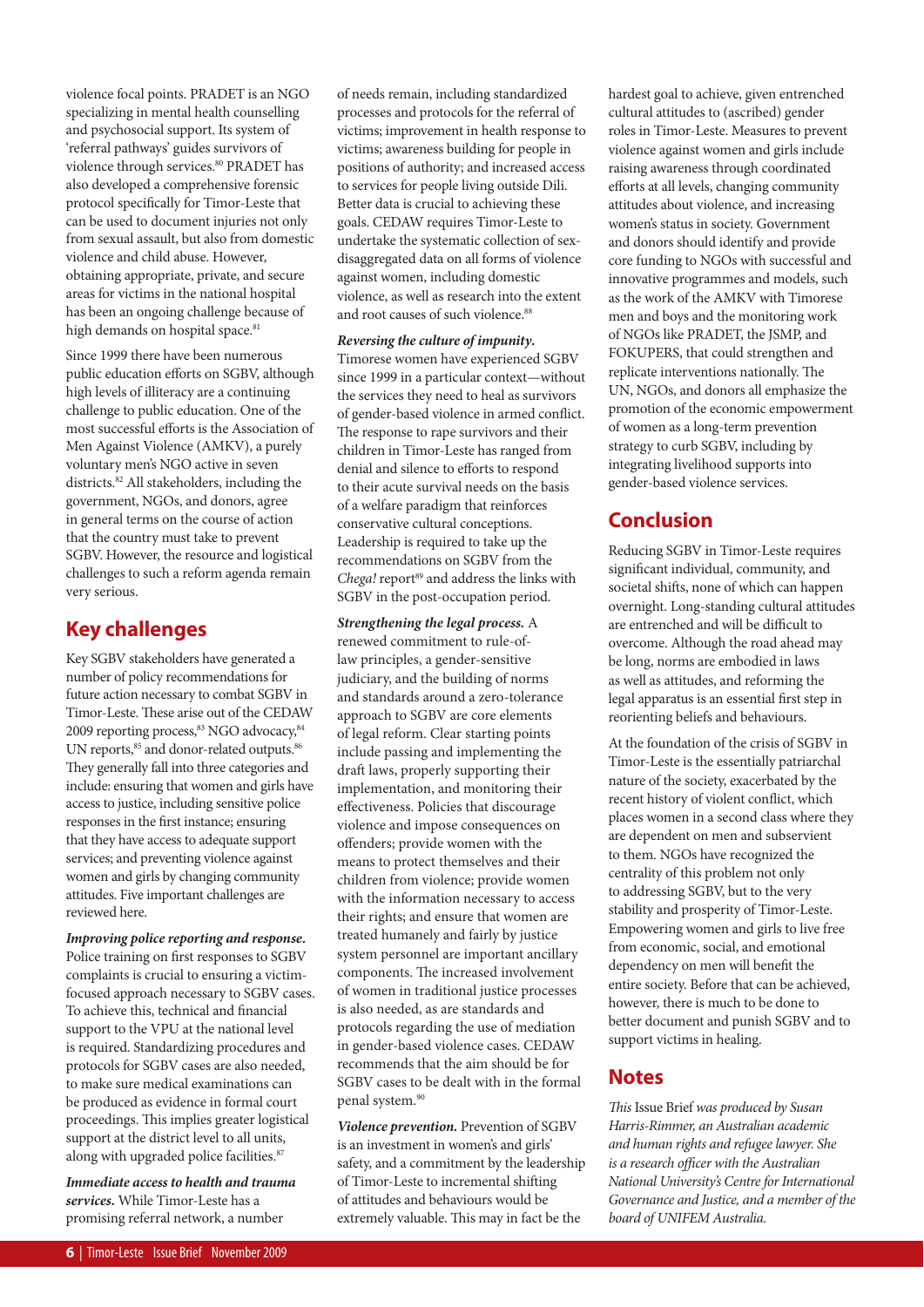violence focal points. PRADET is an NGO specializing in mental health counselling and psychosocial support. Its system of 'referral pathways' guides survivors of violence through services.<sup>80</sup> PRADET has also developed a comprehensive forensic protocol specifically for Timor-Leste that can be used to document injuries not only from sexual assault, but also from domestic violence and child abuse. However, obtaining appropriate, private, and secure areas for victims in the national hospital has been an ongoing challenge because of high demands on hospital space.<sup>81</sup>

Since 1999 there have been numerous public education efforts on SGBV, although high levels of illiteracy are a continuing challenge to public education. One of the most successful efforts is the Association of Men Against Violence (AMKV), a purely voluntary men's NGO active in seven districts.<sup>82</sup> All stakeholders, including the government, NGOs, and donors, agree in general terms on the course of action that the country must take to prevent SGBV. However, the resource and logistical challenges to such a reform agenda remain very serious.

## **Key challenges**

Key SGBV stakeholders have generated a number of policy recommendations for future action necessary to combat SGBV in Timor-Leste. These arise out of the CEDAW 2009 reporting process, <sup>83</sup> NGO advocacy, <sup>84</sup> UN reports,<sup>85</sup> and donor-related outputs.<sup>86</sup> They generally fall into three categories and include: ensuring that women and girls have access to justice, including sensitive police responses in the first instance; ensuring that they have access to adequate support services; and preventing violence against women and girls by changing community attitudes. Five important challenges are reviewed here.

*Improving police reporting and response***.**  Police training on first responses to SGBV complaints is crucial to ensuring a victimfocused approach necessary to SGBV cases. To achieve this, technical and financial support to the VPU at the national level is required. Standardizing procedures and protocols for SGBV cases are also needed, to make sure medical examinations can be produced as evidence in formal court proceedings. This implies greater logistical support at the district level to all units, along with upgraded police facilities.<sup>87</sup>

*Immediate access to health and trauma services.* While Timor-Leste has a promising referral network, a number

of needs remain, including standardized processes and protocols for the referral of victims; improvement in health response to victims; awareness building for people in positions of authority; and increased access to services for people living outside Dili. Better data is crucial to achieving these goals. CEDAW requires Timor-Leste to undertake the systematic collection of sexdisaggregated data on all forms of violence against women, including domestic violence, as well as research into the extent and root causes of such violence.<sup>88</sup>

*Reversing the culture of impunity***.**  Timorese women have experienced SGBV since 1999 in a particular context—without the services they need to heal as survivors of gender-based violence in armed conflict. The response to rape survivors and their children in Timor-Leste has ranged from denial and silence to efforts to respond to their acute survival needs on the basis of a welfare paradigm that reinforces conservative cultural conceptions. Leadership is required to take up the recommendations on SGBV from the Chega! report<sup>89</sup> and address the links with SGBV in the post-occupation period.

*Strengthening the legal process.* A renewed commitment to rule-oflaw principles, a gender-sensitive judiciary, and the building of norms and standards around a zero-tolerance approach to SGBV are core elements of legal reform. Clear starting points include passing and implementing the draft laws, properly supporting their implementation, and monitoring their effectiveness. Policies that discourage violence and impose consequences on offenders; provide women with the means to protect themselves and their children from violence; provide women with the information necessary to access their rights; and ensure that women are treated humanely and fairly by justice system personnel are important ancillary components. The increased involvement of women in traditional justice processes is also needed, as are standards and protocols regarding the use of mediation in gender-based violence cases. CEDAW recommends that the aim should be for SGBV cases to be dealt with in the formal penal system.90

*Violence prevention.* Prevention of SGBV is an investment in women's and girls' safety, and a commitment by the leadership of Timor-Leste to incremental shifting of attitudes and behaviours would be extremely valuable. This may in fact be the

hardest goal to achieve, given entrenched cultural attitudes to (ascribed) gender roles in Timor-Leste. Measures to prevent violence against women and girls include raising awareness through coordinated efforts at all levels, changing community attitudes about violence, and increasing women's status in society. Government and donors should identify and provide core funding to NGOs with successful and innovative programmes and models, such as the work of the AMKV with Timorese men and boys and the monitoring work of NGOs like PRADET, the JSMP, and FOKUPERS, that could strengthen and replicate interventions nationally. The UN, NGOs, and donors all emphasize the promotion of the economic empowerment of women as a long-term prevention strategy to curb SGBV, including by integrating livelihood supports into gender-based violence services.

## **Conclusion**

Reducing SGBV in Timor-Leste requires significant individual, community, and societal shifts, none of which can happen overnight. Long-standing cultural attitudes are entrenched and will be difficult to overcome. Although the road ahead may be long, norms are embodied in laws as well as attitudes, and reforming the legal apparatus is an essential first step in reorienting beliefs and behaviours.

At the foundation of the crisis of SGBV in Timor-Leste is the essentially patriarchal nature of the society, exacerbated by the recent history of violent conflict, which places women in a second class where they are dependent on men and subservient to them. NGOs have recognized the centrality of this problem not only to addressing SGBV, but to the very stability and prosperity of Timor-Leste. Empowering women and girls to live free from economic, social, and emotional dependency on men will benefit the entire society. Before that can be achieved, however, there is much to be done to better document and punish SGBV and to support victims in healing.

## **Notes**

This Issue Brief was produced by Susan Harris-Rimmer, an Australian academic and human rights and refugee lawyer. She is a research officer with the Australian National University's Centre for International Governance and Justice, and a member of the board of UNIFEM Australia.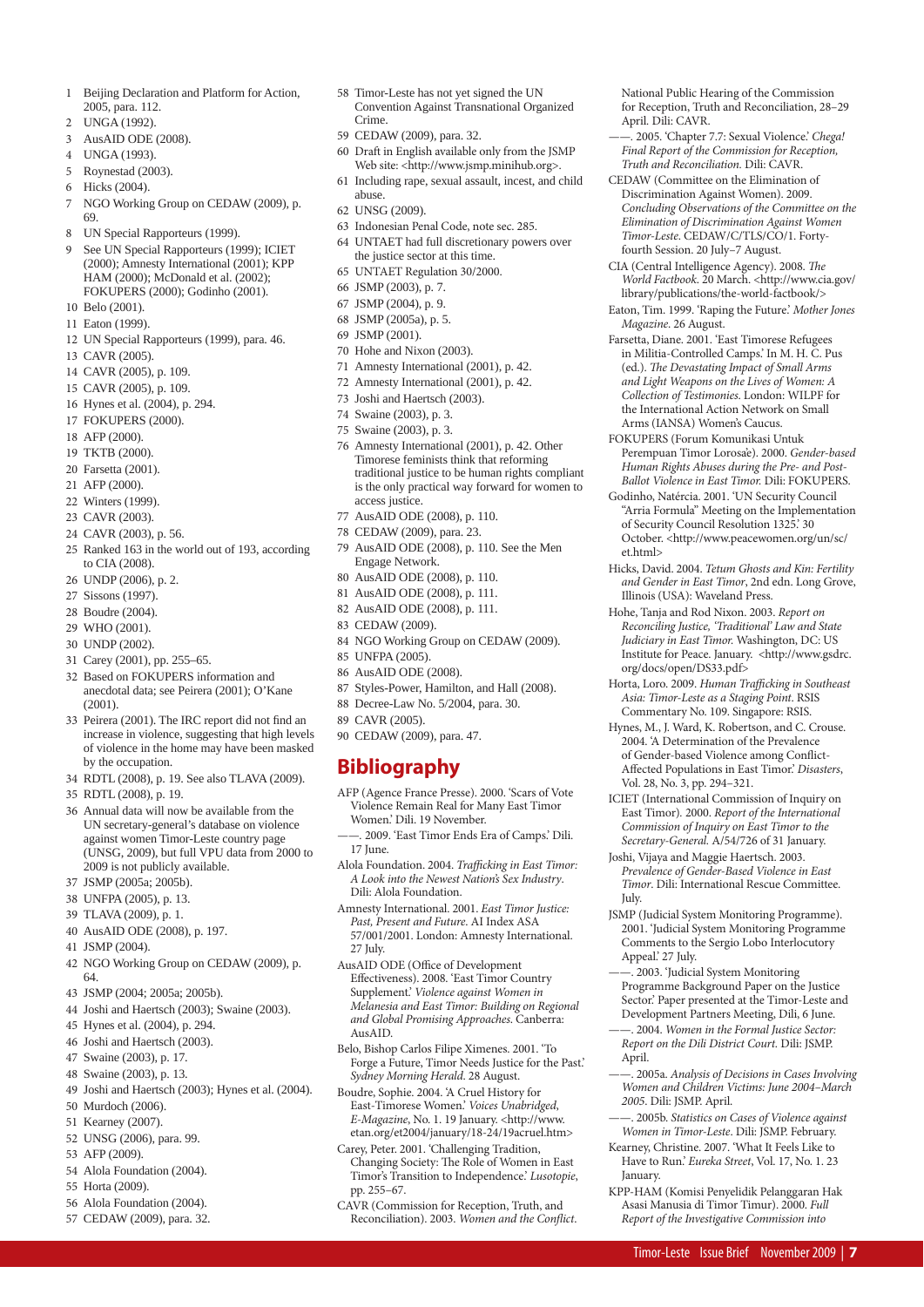- 1 Beijing Declaration and Platform for Action, 2005, para. 112.
- 2 UNGA (1992).
- 3 AusAID ODE (2008).
- 4 UNGA (1993).
- 5 Roynestad (2003).
- 6 Hicks (2004).
- 7 NGO Working Group on CEDAW (2009), p. 69.
- 8 UN Special Rapporteurs (1999).
- 9 See UN Special Rapporteurs (1999); ICIET (2000); Amnesty International (2001); KPP HAM (2000); McDonald et al. (2002); FOKUPERS (2000); Godinho (2001).
- 10 Belo (2001).
- 11 Eaton (1999).
- 12 UN Special Rapporteurs (1999), para. 46.
- 13 CAVR (2005).
- 14 CAVR (2005), p. 109.
- 15 CAVR (2005), p. 109.
- 16 Hynes et al. (2004), p. 294.
- 17 FOKUPERS (2000).
- 18 AFP (2000).
- 19 TKTB (2000).
- 20 Farsetta (2001).
- 21 AFP (2000).
- 22 Winters (1999).
- 23 CAVR (2003).
- 
- 24 CAVR (2003), p. 56.
- 25 Ranked 163 in the world out of 193, according to CIA (2008).
- 26 UNDP (2006), p. 2.
- 27 Sissons (1997).
- 28 Boudre (2004).
- 29 WHO (2001).
- 30 UNDP (2002).
- 31 Carey (2001), pp. 255–65.
- 32 Based on FOKUPERS information and anecdotal data; see Peirera (2001); O'Kane (2001).
- 33 Peirera (2001). The IRC report did not find an increase in violence, suggesting that high levels of violence in the home may have been masked by the occupation.
- 34 RDTL (2008), p. 19. See also TLAVA (2009).
- 35 RDTL (2008), p. 19.
- 36 Annual data will now be available from the UN secretary-general's database on violence against women Timor-Leste country page (UNSG, 2009), but full VPU data from 2000 to 2009 is not publicly available.
- 37 JSMP (2005a; 2005b).
- 38 UNFPA (2005), p. 13.
- 39 TLAVA (2009), p. 1.
- 40 AusAID ODE (2008), p. 197.
- 41 JSMP (2004).
- 42 NGO Working Group on CEDAW (2009), p. 64.
- 43 JSMP (2004; 2005a; 2005b).
- 44 Joshi and Haertsch (2003); Swaine (2003).
- 45 Hynes et al. (2004), p. 294.
- 46 Joshi and Haertsch (2003).
- 47 Swaine (2003), p. 17.
- 48 Swaine (2003), p. 13.
- 49 Joshi and Haertsch (2003); Hynes et al. (2004).
- 50 Murdoch (2006).
- 51 Kearney (2007).
- 52 UNSG (2006), para. 99.
- 53 AFP (2009).
- 54 Alola Foundation (2004).
- 55 Horta (2009).
- 56 Alola Foundation (2004).
- 57 CEDAW (2009), para. 32.
- 58 Timor-Leste has not yet signed the UN Convention Against Transnational Organized Crime.
- 59 CEDAW (2009), para. 32.
- 60 Draft in English available only from the JSMP Web site: <http://www.jsmp.minihub.org>.
- 61 Including rape, sexual assault, incest, and child abuse.
- 62 UNSG (2009).
- 63 Indonesian Penal Code, note sec. 285.
- 64 UNTAET had full discretionary powers over the justice sector at this time.
- 65 UNTAET Regulation 30/2000.
- 66 JSMP (2003), p. 7.
- 67 JSMP (2004), p. 9.
- 68 JSMP (2005a), p. 5.
- 69 JSMP (2001).
- 70 Hohe and Nixon (2003).
- 71 Amnesty International (2001), p. 42.
- 72 Amnesty International (2001), p. 42.
- 73 Joshi and Haertsch (2003).
- 74 Swaine (2003), p. 3.
- 75 Swaine (2003), p. 3.
- 76 Amnesty International (2001), p. 42. Other Timorese feminists think that reforming traditional justice to be human rights compliant is the only practical way forward for women to access justice.
- 77 AusAID ODE (2008), p. 110.
- 78 CEDAW (2009), para. 23.
- 79 AusAID ODE (2008), p. 110. See the Men Engage Network.
- 80 AusAID ODE (2008), p. 110.
- 81 AusAID ODE (2008), p. 111.
- 82 AusAID ODE (2008), p. 111.
- 83 CEDAW (2009).
- 84 NGO Working Group on CEDAW (2009).
- 85 UNFPA (2005).
- 86 AusAID ODE (2008).
- 87 Styles-Power, Hamilton, and Hall (2008).
- 88 Decree-Law No. 5/2004, para. 30.
- 89 CAVR (2005).
- 90 CEDAW (2009), para. 47.

## **Bibliography**

- AFP (Agence France Presse). 2000. 'Scars of Vote Violence Remain Real for Many East Timor Women.' Dili. 19 November.
- ——. 2009. 'East Timor Ends Era of Camps.' Dili. 17 June.
- Alola Foundation. 2004. Trafficking in East Timor: A Look into the Newest Nation's Sex Industry. Dili: Alola Foundation.
- Amnesty International. 2001. East Timor Justice: Past, Present and Future. AI Index ASA 57/001/2001. London: Amnesty International. 27 July.
- AusAID ODE (Office of Development Effectiveness). 2008. 'East Timor Country Supplement.' Violence against Women in Melanesia and East Timor: Building on Regional and Global Promising Approaches. Canberra: AusAID.
- Belo, Bishop Carlos Filipe Ximenes. 2001. 'To Forge a Future, Timor Needs Justice for the Past.' Sydney Morning Herald. 28 August.
- Boudre, Sophie. 2004. 'A Cruel History for East-Timorese Women.' Voices Unabridged, E-Magazine, No. 1. 19 January. <http://www. etan.org/et2004/january/18-24/19acruel.htm>
- Carey, Peter. 2001. 'Challenging Tradition, Changing Society: The Role of Women in East Timor's Transition to Independence.' Lusotopie, pp. 255–67.

CAVR (Commission for Reception, Truth, and Reconciliation). 2003. Women and the Conflict.

Timor-Leste Issue Brief November 2009 | **7**

. 2005a. Analysis of Decisions in Cases Involving Women and Children Victims: June 2004–March

. 2005b. Statistics on Cases of Violence against Women in Timor-Leste. Dili: JSMP. February. Kearney, Christine. 2007. 'What It Feels Like to Have to Run.' Eureka Street, Vol. 17, No. 1. 23

KPP-HAM (Komisi Penyelidik Pelanggaran Hak Asasi Manusia di Timor Timur). 2000. Full Report of the Investigative Commission into

National Public Hearing of the Commission for Reception, Truth and Reconciliation, 28–29

. 2005. 'Chapter 7.7: Sexual Violence.' Chega! Final Report of the Commission for Reception, Truth and Reconciliation. Dili: CAVR. CEDAW (Committee on the Elimination of Discrimination Against Women). 2009. Concluding Observations of the Committee on the Elimination of Discrimination Against Women Timor-Leste. CEDAW/C/TLS/CO/1. Fortyfourth Session. 20 July–7 August. CIA (Central Intelligence Agency). 2008. The World Factbook. 20 March. <http://www.cia.gov/ library/publications/the-world-factbook/> Eaton, Tim. 1999. 'Raping the Future.' Mother Jones

April. Dili: CAVR.

Magazine. 26 August.

et.html>

July.

April.

**January.** 

Appeal.' 27 July.

2005. Dili: JSMP. April.

Farsetta, Diane. 2001. 'East Timorese Refugees in Militia-Controlled Camps.' In M. H. C. Pus (ed.). The Devastating Impact of Small Arms and Light Weapons on the Lives of Women: A Collection of Testimonies. London: WILPF for the International Action Network on Small Arms (IANSA) Women's Caucus. FOKUPERS (Forum Komunikasi Untuk

Perempuan Timor Lorosa'e). 2000. Gender-based Human Rights Abuses during the Pre- and Post-Ballot Violence in East Timor. Dili: FOKUPERS. Godinho, Natércia. 2001. 'UN Security Council "Arria Formula" Meeting on the Implementation of Security Council Resolution 1325.' 30 October. <http://www.peacewomen.org/un/sc/

Hicks, David. 2004. Tetum Ghosts and Kin: Fertility and Gender in East Timor, 2nd edn. Long Grove,

Horta, Loro. 2009. Human Trafficking in Southeast Asia: Timor-Leste as a Staging Point. RSIS Commentary No. 109. Singapore: RSIS. Hynes, M., J. Ward, K. Robertson, and C. Crouse. 2004. 'A Determination of the Prevalence of Gender-based Violence among Conflict-Affected Populations in East Timor.' Disasters,

ICIET (International Commission of Inquiry on East Timor). 2000. Report of the International Commission of Inquiry on East Timor to the Secretary-General. A/54/726 of 31 January. Joshi, Vijaya and Maggie Haertsch. 2003. Prevalence of Gender-Based Violence in East Timor. Dili: International Rescue Committee.

JSMP (Judicial System Monitoring Programme). 2001. 'Judicial System Monitoring Programme Comments to the Sergio Lobo Interlocutory

——. 2003. 'Judicial System Monitoring Programme Background Paper on the Justice Sector.' Paper presented at the Timor-Leste and Development Partners Meeting, Dili, 6 June. ——. 2004. Women in the Formal Justice Sector: Report on the Dili District Court. Dili: JSMP.

Illinois (USA): Waveland Press. Hohe, Tanja and Rod Nixon. 2003. Report on Reconciling Justice, 'Traditional' Law and State Judiciary in East Timor. Washington, DC: US Institute for Peace. January. <http://www.gsdrc.

org/docs/open/DS33.pdf>

Vol. 28, No. 3, pp. 294–321.